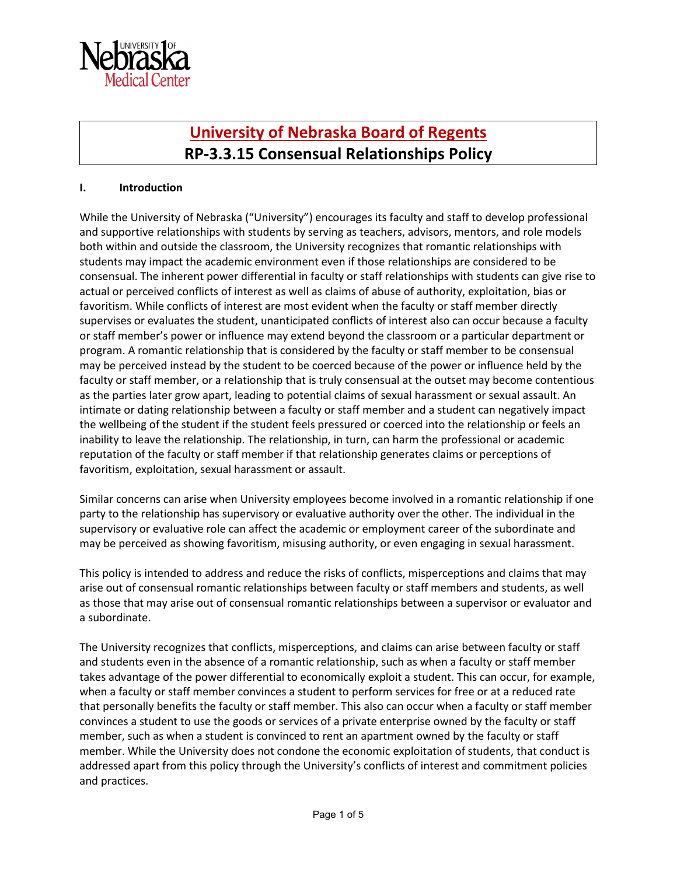

# **[University of Nebraska Board of Regents](https://nebraska.edu/-/media/unca/docs/offices-and-policies/policies/board-governing-documents/board-of-regents-policies.pdf?la=en) RP-3.3.15 Consensual Relationships Policy**

## **I. Introduction**

While the University of Nebraska ("University") encourages its faculty and staff to develop professional and supportive relationships with students by serving as teachers, advisors, mentors, and role models both within and outside the classroom, the University recognizes that romantic relationships with students may impact the academic environment even if those relationships are considered to be consensual. The inherent power differential in faculty or staff relationships with students can give rise to actual or perceived conflicts of interest as well as claims of abuse of authority, exploitation, bias or favoritism. While conflicts of interest are most evident when the faculty or staff member directly supervises or evaluates the student, unanticipated conflicts of interest also can occur because a faculty or staff member's power or influence may extend beyond the classroom or a particular department or program. A romantic relationship that is considered by the faculty or staff member to be consensual may be perceived instead by the student to be coerced because of the power or influence held by the faculty or staff member, or a relationship that is truly consensual at the outset may become contentious as the parties later grow apart, leading to potential claims of sexual harassment or sexual assault. An intimate or dating relationship between a faculty or staff member and a student can negatively impact the wellbeing of the student if the student feels pressured or coerced into the relationship or feels an inability to leave the relationship. The relationship, in turn, can harm the professional or academic reputation of the faculty or staff member if that relationship generates claims or perceptions of favoritism, exploitation, sexual harassment or assault.

Similar concerns can arise when University employees become involved in a romantic relationship if one party to the relationship has supervisory or evaluative authority over the other. The individual in the supervisory or evaluative role can affect the academic or employment career of the subordinate and may be perceived as showing favoritism, misusing authority, or even engaging in sexual harassment.

This policy is intended to address and reduce the risks of conflicts, misperceptions and claims that may arise out of consensual romantic relationships between faculty or staff members and students, as well as those that may arise out of consensual romantic relationships between a supervisor or evaluator and a subordinate.

The University recognizes that conflicts, misperceptions, and claims can arise between faculty or staff and students even in the absence of a romantic relationship, such as when a faculty or staff member takes advantage of the power differential to economically exploit a student. This can occur, for example, when a faculty or staff member convinces a student to perform services for free or at a reduced rate that personally benefits the faculty or staff member. This also can occur when a faculty or staff member convinces a student to use the goods or services of a private enterprise owned by the faculty or staff member, such as when a student is convinced to rent an apartment owned by the faculty or staff member. While the University does not condone the economic exploitation of students, that conduct is addressed apart from this policy through the University's conflicts of interest and commitment policies and practices.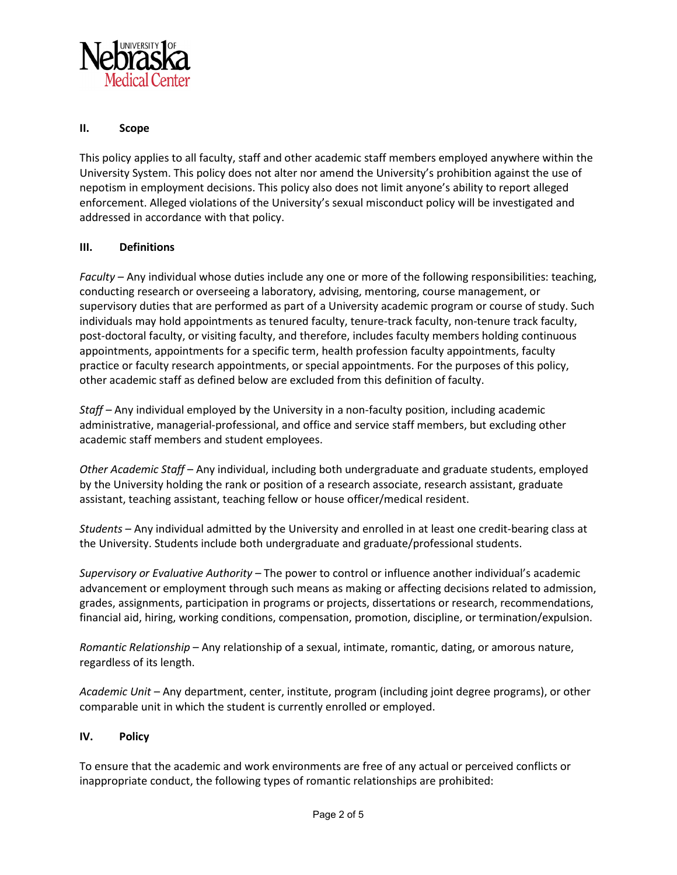

## **II. Scope**

This policy applies to all faculty, staff and other academic staff members employed anywhere within the University System. This policy does not alter nor amend the University's prohibition against the use of nepotism in employment decisions. This policy also does not limit anyone's ability to report alleged enforcement. Alleged violations of the University's sexual misconduct policy will be investigated and addressed in accordance with that policy.

### **III. Definitions**

*Faculty* – Any individual whose duties include any one or more of the following responsibilities: teaching, conducting research or overseeing a laboratory, advising, mentoring, course management, or supervisory duties that are performed as part of a University academic program or course of study. Such individuals may hold appointments as tenured faculty, tenure-track faculty, non-tenure track faculty, post-doctoral faculty, or visiting faculty, and therefore, includes faculty members holding continuous appointments, appointments for a specific term, health profession faculty appointments, faculty practice or faculty research appointments, or special appointments. For the purposes of this policy, other academic staff as defined below are excluded from this definition of faculty.

*Staff –* Any individual employed by the University in a non-faculty position, including academic administrative, managerial-professional, and office and service staff members, but excluding other academic staff members and student employees.

*Other Academic Staff* – Any individual, including both undergraduate and graduate students, employed by the University holding the rank or position of a research associate, research assistant, graduate assistant, teaching assistant, teaching fellow or house officer/medical resident.

*Students* – Any individual admitted by the University and enrolled in at least one credit-bearing class at the University. Students include both undergraduate and graduate/professional students.

*Supervisory or Evaluative Authority –* The power to control or influence another individual's academic advancement or employment through such means as making or affecting decisions related to admission, grades, assignments, participation in programs or projects, dissertations or research, recommendations, financial aid, hiring, working conditions, compensation, promotion, discipline, or termination/expulsion.

*Romantic Relationship* – Any relationship of a sexual, intimate, romantic, dating, or amorous nature, regardless of its length.

*Academic Unit* – Any department, center, institute, program (including joint degree programs), or other comparable unit in which the student is currently enrolled or employed.

### **IV. Policy**

To ensure that the academic and work environments are free of any actual or perceived conflicts or inappropriate conduct, the following types of romantic relationships are prohibited: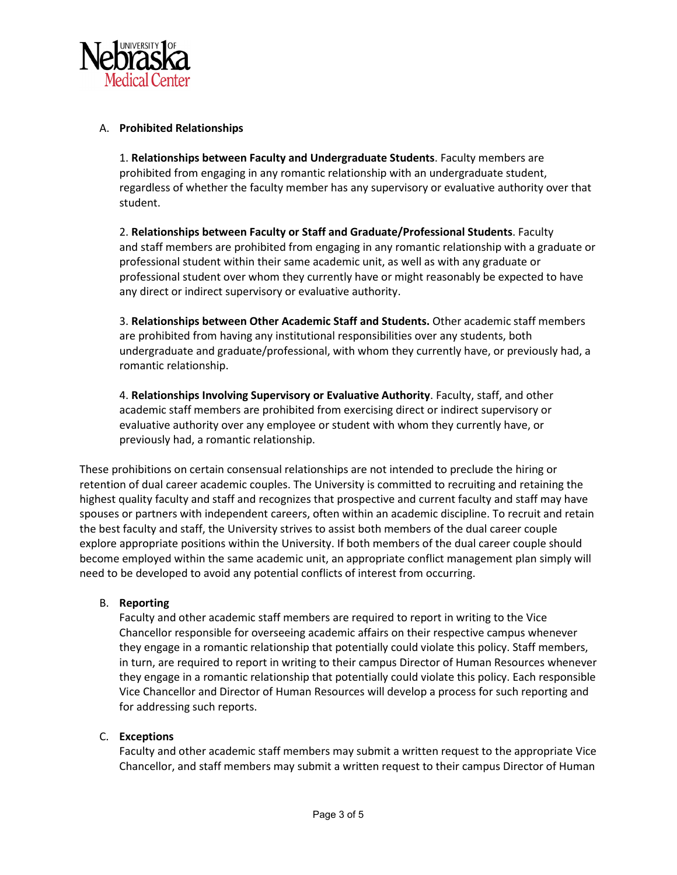

## A. **Prohibited Relationships**

1. **Relationships between Faculty and Undergraduate Students**. Faculty members are prohibited from engaging in any romantic relationship with an undergraduate student, regardless of whether the faculty member has any supervisory or evaluative authority over that student.

2. **Relationships between Faculty or Staff and Graduate/Professional Students**. Faculty and staff members are prohibited from engaging in any romantic relationship with a graduate or professional student within their same academic unit, as well as with any graduate or professional student over whom they currently have or might reasonably be expected to have any direct or indirect supervisory or evaluative authority.

3. **Relationships between Other Academic Staff and Students.** Other academic staff members are prohibited from having any institutional responsibilities over any students, both undergraduate and graduate/professional, with whom they currently have, or previously had, a romantic relationship.

4. **Relationships Involving Supervisory or Evaluative Authority**. Faculty, staff, and other academic staff members are prohibited from exercising direct or indirect supervisory or evaluative authority over any employee or student with whom they currently have, or previously had, a romantic relationship.

These prohibitions on certain consensual relationships are not intended to preclude the hiring or retention of dual career academic couples. The University is committed to recruiting and retaining the highest quality faculty and staff and recognizes that prospective and current faculty and staff may have spouses or partners with independent careers, often within an academic discipline. To recruit and retain the best faculty and staff, the University strives to assist both members of the dual career couple explore appropriate positions within the University. If both members of the dual career couple should become employed within the same academic unit, an appropriate conflict management plan simply will need to be developed to avoid any potential conflicts of interest from occurring.

### B. **Reporting**

Faculty and other academic staff members are required to report in writing to the Vice Chancellor responsible for overseeing academic affairs on their respective campus whenever they engage in a romantic relationship that potentially could violate this policy. Staff members, in turn, are required to report in writing to their campus Director of Human Resources whenever they engage in a romantic relationship that potentially could violate this policy. Each responsible Vice Chancellor and Director of Human Resources will develop a process for such reporting and for addressing such reports.

### C. **Exceptions**

Faculty and other academic staff members may submit a written request to the appropriate Vice Chancellor, and staff members may submit a written request to their campus Director of Human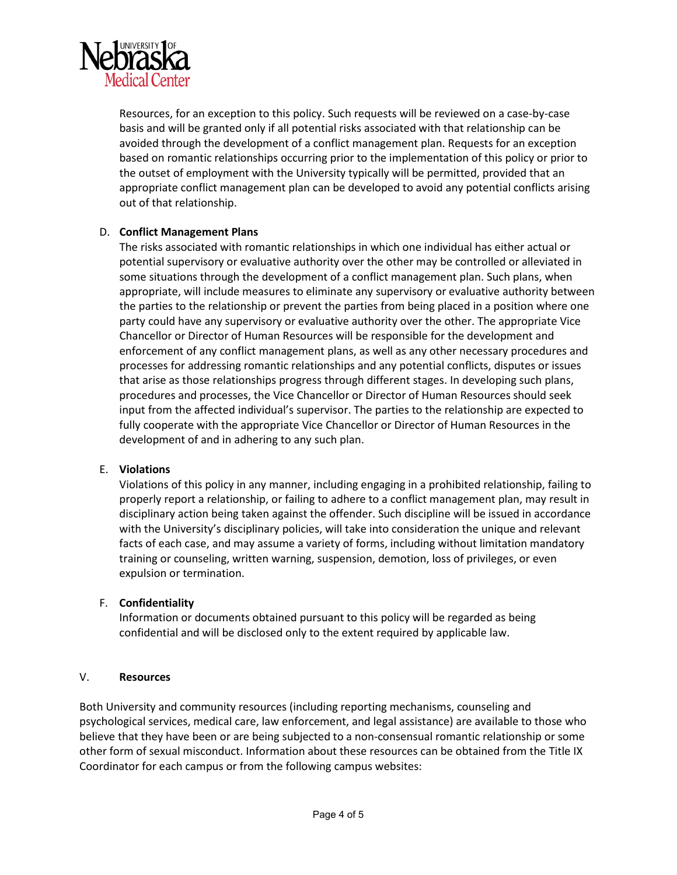

Resources, for an exception to this policy. Such requests will be reviewed on a case-by-case basis and will be granted only if all potential risks associated with that relationship can be avoided through the development of a conflict management plan. Requests for an exception based on romantic relationships occurring prior to the implementation of this policy or prior to the outset of employment with the University typically will be permitted, provided that an appropriate conflict management plan can be developed to avoid any potential conflicts arising out of that relationship.

## D. **Conflict Management Plans**

The risks associated with romantic relationships in which one individual has either actual or potential supervisory or evaluative authority over the other may be controlled or alleviated in some situations through the development of a conflict management plan. Such plans, when appropriate, will include measures to eliminate any supervisory or evaluative authority between the parties to the relationship or prevent the parties from being placed in a position where one party could have any supervisory or evaluative authority over the other. The appropriate Vice Chancellor or Director of Human Resources will be responsible for the development and enforcement of any conflict management plans, as well as any other necessary procedures and processes for addressing romantic relationships and any potential conflicts, disputes or issues that arise as those relationships progress through different stages. In developing such plans, procedures and processes, the Vice Chancellor or Director of Human Resources should seek input from the affected individual's supervisor. The parties to the relationship are expected to fully cooperate with the appropriate Vice Chancellor or Director of Human Resources in the development of and in adhering to any such plan.

### E. **Violations**

Violations of this policy in any manner, including engaging in a prohibited relationship, failing to properly report a relationship, or failing to adhere to a conflict management plan, may result in disciplinary action being taken against the offender. Such discipline will be issued in accordance with the University's disciplinary policies, will take into consideration the unique and relevant facts of each case, and may assume a variety of forms, including without limitation mandatory training or counseling, written warning, suspension, demotion, loss of privileges, or even expulsion or termination.

### F. **Confidentiality**

Information or documents obtained pursuant to this policy will be regarded as being confidential and will be disclosed only to the extent required by applicable law.

#### V. **Resources**

Both University and community resources (including reporting mechanisms, counseling and psychological services, medical care, law enforcement, and legal assistance) are available to those who believe that they have been or are being subjected to a non-consensual romantic relationship or some other form of sexual misconduct. Information about these resources can be obtained from the Title IX Coordinator for each campus or from the following campus websites: